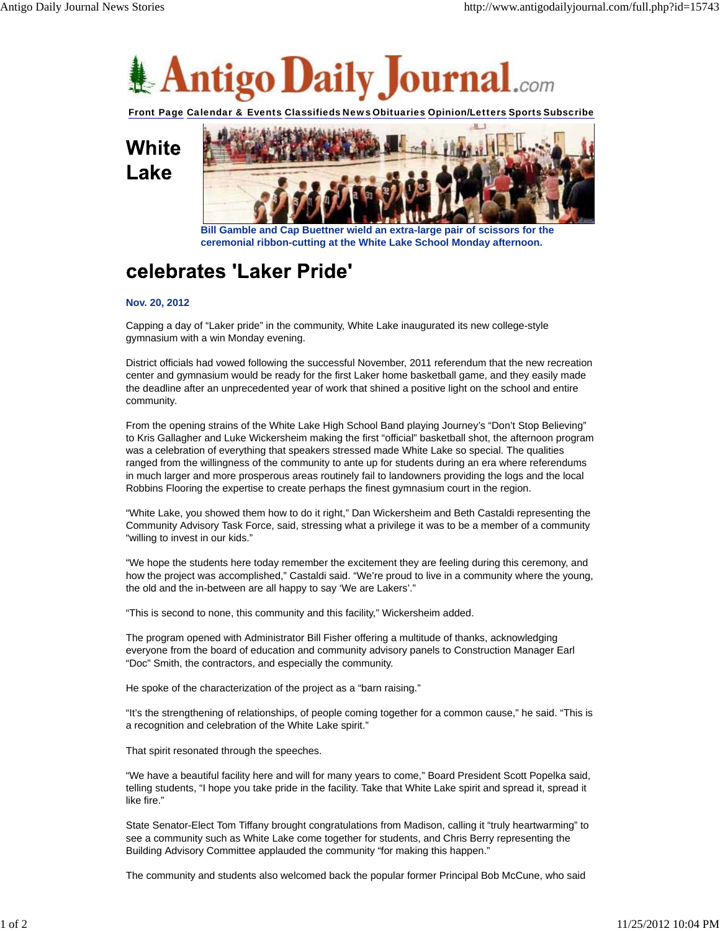

Front Page Calendar & Events Classifieds News Obituaries Opinion/Letters Sports Subscribe

White Lake



**Bill Gamble and Cap Buettner wield an extra-large pair of scissors for the ceremonial ribbon-cutting at the White Lake School Monday afternoon.**

## celebrates 'Laker Pride'

## **Nov. 20, 2012**

Capping a day of "Laker pride" in the community, White Lake inaugurated its new college-style gymnasium with a win Monday evening.

District officials had vowed following the successful November, 2011 referendum that the new recreation center and gymnasium would be ready for the first Laker home basketball game, and they easily made the deadline after an unprecedented year of work that shined a positive light on the school and entire community.

From the opening strains of the White Lake High School Band playing Journey's "Don't Stop Believing" to Kris Gallagher and Luke Wickersheim making the first "official" basketball shot, the afternoon program was a celebration of everything that speakers stressed made White Lake so special. The qualities ranged from the willingness of the community to ante up for students during an era where referendums in much larger and more prosperous areas routinely fail to landowners providing the logs and the local Robbins Flooring the expertise to create perhaps the finest gymnasium court in the region.

"White Lake, you showed them how to do it right," Dan Wickersheim and Beth Castaldi representing the Community Advisory Task Force, said, stressing what a privilege it was to be a member of a community "willing to invest in our kids."

"We hope the students here today remember the excitement they are feeling during this ceremony, and how the project was accomplished," Castaldi said. "We're proud to live in a community where the young, the old and the in-between are all happy to say 'We are Lakers'."

"This is second to none, this community and this facility," Wickersheim added.

The program opened with Administrator Bill Fisher offering a multitude of thanks, acknowledging everyone from the board of education and community advisory panels to Construction Manager Earl "Doc" Smith, the contractors, and especially the community.

He spoke of the characterization of the project as a "barn raising."

"It's the strengthening of relationships, of people coming together for a common cause," he said. "This is a recognition and celebration of the White Lake spirit."

That spirit resonated through the speeches.

"We have a beautiful facility here and will for many years to come," Board President Scott Popelka said, telling students, "I hope you take pride in the facility. Take that White Lake spirit and spread it, spread it like fire."

State Senator-Elect Tom Tiffany brought congratulations from Madison, calling it "truly heartwarming" to see a community such as White Lake come together for students, and Chris Berry representing the Building Advisory Committee applauded the community "for making this happen."

The community and students also welcomed back the popular former Principal Bob McCune, who said